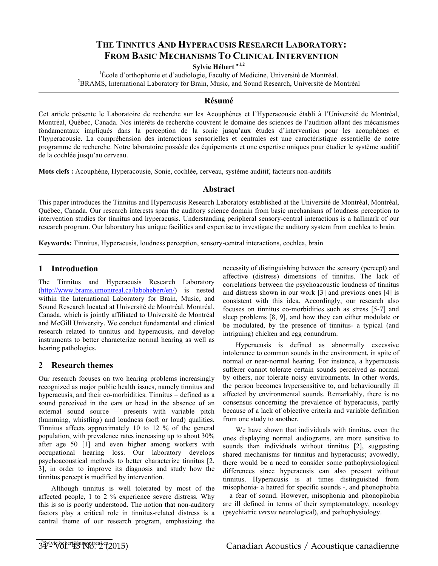# **THE TINNITUS AND HYPERACUSIS RESEARCH LABORATORY: FROM BASIC MECHANISMS TO CLINICAL INTERVENTION**

**Sylvie Hébert** <sup>∗</sup>**1,2**

<sup>1</sup> École d'orthophonie et d'audiologie, Faculty of Medicine, Université de Montréal.<br><sup>2</sup> PRAMS, International Leberston: for Brain, Music, and Sound Bessereb, Université de Mo <sup>2</sup>BRAMS, International Laboratory for Brain, Music, and Sound Research, Université de Montréal

#### **Résumé**

Cet article présente le Laboratoire de recherche sur les Acouphènes et l'Hyperacousie établi à l'Université de Montréal, Montréal, Québec, Canada. Nos intérêts de recherche couvrent le domaine des sciences de l'audition allant des mécanismes fondamentaux impliqués dans la perception de la sonie jusqu'aux études d'intervention pour les acouphènes et l'hyperacousie. La compréhension des interactions sensorielles et centrales est une caractéristique essentielle de notre programme de recherche. Notre laboratoire possède des équipements et une expertise uniques pour étudier le système auditif de la cochlée jusqu'au cerveau.

**Mots clefs :** Acouphène, Hyperacousie, Sonie, cochlée, cerveau, système auditif, facteurs non-auditifs

#### **Abstract**

This paper introduces the Tinnitus and Hyperacusis Research Laboratory established at the Université de Montréal, Montréal, Québec, Canada. Our research interests span the auditory science domain from basic mechanisms of loudness perception to intervention studies for tinnitus and hyperacusis. Understanding peripheral sensory-central interactions is a hallmark of our research program. Our laboratory has unique facilities and expertise to investigate the auditory system from cochlea to brain.

**Keywords:** Tinnitus, Hyperacusis, loudness perception, sensory-central interactions, cochlea, brain

## **1 Introduction**

The Tinnitus and Hyperacusis Research Laboratory (http://www.brams.umontreal.ca/labohebert/en/) is nested within the International Laboratory for Brain, Music, and Sound Research located at Université de Montréal, Montréal, Canada, which is jointly affiliated to Université de Montréal and McGill University. We conduct fundamental and clinical research related to tinnitus and hyperacusis, and develop instruments to better characterize normal hearing as well as hearing pathologies.

## **2 Research themes**

Our research focuses on two hearing problems increasingly recognized as major public health issues, namely tinnitus and hyperacusis, and their co-morbidities. Tinnitus – defined as a sound perceived in the ears or head in the absence of an external sound source – presents with variable pitch (humming, whistling) and loudness (soft or loud) qualities. Tinnitus affects approximately 10 to 12 % of the general population, with prevalence rates increasing up to about 30% after age 50 [1] and even higher among workers with occupational hearing loss. Our laboratory develops psychoacoustical methods to better characterize tinnitus [2, 3], in order to improve its diagnosis and study how the tinnitus percept is modified by intervention.

Although tinnitus is well tolerated by most of the affected people, 1 to 2 % experience severe distress. Why this is so is poorly understood. The notion that non-auditory factors play a critical role in tinnitus-related distress is a central theme of our research program, emphasizing the necessity of distinguishing between the sensory (percept) and affective (distress) dimensions of tinnitus. The lack of correlations between the psychoacoustic loudness of tinnitus and distress shown in our work [3] and previous ones [4] is consistent with this idea. Accordingly, our research also focuses on tinnitus co-morbidities such as stress [5-7] and sleep problems [8, 9], and how they can either modulate or be modulated, by the presence of tinnitus- a typical (and intriguing) chicken and egg conundrum.

Hyperacusis is defined as abnormally excessive intolerance to common sounds in the environment, in spite of normal or near-normal hearing. For instance, a hyperacusis sufferer cannot tolerate certain sounds perceived as normal by others, nor tolerate noisy environments. In other words, the person becomes hypersensitive to, and behaviourally ill affected by environmental sounds. Remarkably, there is no consensus concerning the prevalence of hyperacusis, partly because of a lack of objective criteria and variable definition from one study to another.

We have shown that individuals with tinnitus, even the ones displaying normal audiograms, are more sensitive to sounds than individuals without tinnitus [2], suggesting shared mechanisms for tinnitus and hyperacusis; avowedly, there would be a need to consider some pathophysiological differences since hyperacusis can also present without tinnitus. Hyperacusis is at times distinguished from misophonia- a hatred for specific sounds -, and phonophobia – a fear of sound. However, misophonia and phonophobia are ill defined in terms of their symptomatology, nosology (psychiatric *versus* neurological), and pathophysiology.